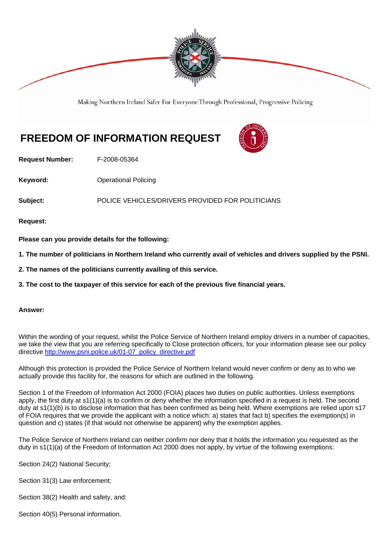

Making Northern Ireland Safer For Everyone Through Professional, Progressive Policing

## **FREEDOM OF INFORMATION REQUEST**



**Request Number:** F-2008-05364

**Keyword: C**Derational Policing

**Subject:** POLICE VEHICLES/DRIVERS PROVIDED FOR POLITICIANS

**Request:** 

**Please can you provide details for the following:** 

**1. The number of politicians in Northern Ireland who currently avail of vehicles and drivers supplied by the PSNI.**

**2. The names of the politicians currently availing of this service.** 

**3. The cost to the taxpayer of this service for each of the previous five financial years.**

## **Answer:**

Within the wording of your request, whilst the Police Service of Northern Ireland employ drivers in a number of capacities, we take the view that you are referring specifically to Close protection officers, for your information please see our policy directive http://www.psni.police.uk/01-07\_policy\_directive.pdf

Although this protection is provided the Police Service of Northern Ireland would never confirm or deny as to who we actually provide this facility for, the reasons for which are outlined in the following.

Section 1 of the Freedom of Information Act 2000 (FOIA) places two duties on public authorities. Unless exemptions apply, the first duty at s1(1)(a) is to confirm or deny whether the information specified in a request is held. The second duty at s1(1)(b) is to disclose information that has been confirmed as being held. Where exemptions are relied upon s17 of FOIA requires that we provide the applicant with a notice which: a) states that fact b) specifies the exemption(s) in question and c) states (if that would not otherwise be apparent) why the exemption applies.

The Police Service of Northern Ireland can neither confirm nor deny that it holds the information you requested as the duty in s1(1)(a) of the Freedom of Information Act 2000 does not apply, by virtue of the following exemptions:

Section 24(2) National Security;

Section 31(3) Law enforcement;

Section 38(2) Health and safety, and:

Section 40(5) Personal information.